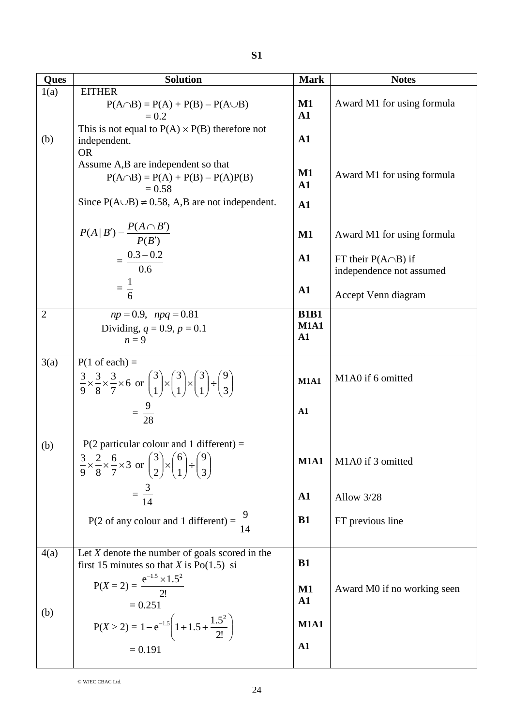| <b>Ques</b>    | <b>Solution</b>                                                                                                                                                      | <b>Mark</b>                              | <b>Notes</b>                                          |
|----------------|----------------------------------------------------------------------------------------------------------------------------------------------------------------------|------------------------------------------|-------------------------------------------------------|
| 1(a)           | <b>EITHER</b><br>$P(A \cap B) = P(A) + P(B) - P(A \cup B)$<br>$= 0.2$                                                                                                | $\mathbf{M1}$<br>$\mathbf{A1}$           | Award M1 for using formula                            |
| (b)            | This is not equal to $P(A) \times P(B)$ therefore not<br>independent.<br><b>OR</b>                                                                                   | $\mathbf{A1}$                            |                                                       |
|                | Assume A,B are independent so that<br>$P(A \cap B) = P(A) + P(B) - P(A)P(B)$<br>$= 0.58$                                                                             | $\mathbf{M1}$<br>${\bf A1}$              | Award M1 for using formula                            |
|                | Since $P(A \cup B) \neq 0.58$ , A,B are not independent.                                                                                                             | $\mathbf{A1}$                            |                                                       |
|                | $P(A   B') = \frac{P(A \cap B')}{P(B')}$                                                                                                                             | $\mathbf{M1}$                            | Award M1 for using formula                            |
|                | $=\frac{0.3-0.2}{0.6}$                                                                                                                                               | $\mathbf{A1}$                            | FT their $P(A \cap B)$ if<br>independence not assumed |
|                | $=\frac{1}{6}$                                                                                                                                                       | ${\bf A1}$                               | Accept Venn diagram                                   |
| $\overline{2}$ | $np = 0.9$ , $npq = 0.81$<br>Dividing, $q = 0.9, p = 0.1$<br>$n=9$                                                                                                   | <b>B1B1</b><br><b>M1A1</b><br>${\bf A1}$ |                                                       |
| 3(a)           | $P(1 \text{ of each}) =$<br>$\frac{3}{9} \times \frac{3}{8} \times \frac{3}{7} \times 6$ or $\binom{3}{1} \times \binom{3}{1} \times \binom{3}{1} \div \binom{9}{3}$ | <b>M1A1</b>                              | M1A0 if 6 omitted                                     |
|                | $=\frac{9}{28}$                                                                                                                                                      | $\mathbf{A1}$                            |                                                       |
| (b)            | $P(2$ particular colour and 1 different) =<br>$rac{3}{9} \times \frac{2}{8} \times \frac{6}{7} \times 3$ or $\binom{3}{2} \times \binom{6}{1} \div \binom{9}{3}$     | <b>M1A1</b>                              | M1A0 if 3 omitted                                     |
|                | $=\frac{3}{14}$                                                                                                                                                      | ${\bf A1}$                               | Allow 3/28                                            |
|                | P(2 of any colour and 1 different) = $\frac{9}{14}$                                                                                                                  | B1                                       | FT previous line                                      |
| 4(a)           | Let $X$ denote the number of goals scored in the<br>first 15 minutes so that X is $Po(1.5)$ si                                                                       | <b>B1</b>                                |                                                       |
|                | $P(X = 2) = \frac{e^{-1.5} \times 1.5^2}{2!}$<br>$= 0.251$                                                                                                           | $\mathbf{M1}$<br>${\bf A1}$              | Award M0 if no working seen                           |
| (b)            | $P(X > 2) = 1 - e^{-1.5} \left( 1 + 1.5 + \frac{1.5^2}{2!} \right)$                                                                                                  | <b>M1A1</b>                              |                                                       |
|                | $= 0.191$                                                                                                                                                            | A1                                       |                                                       |

© WJEC CBAC Ltd.

24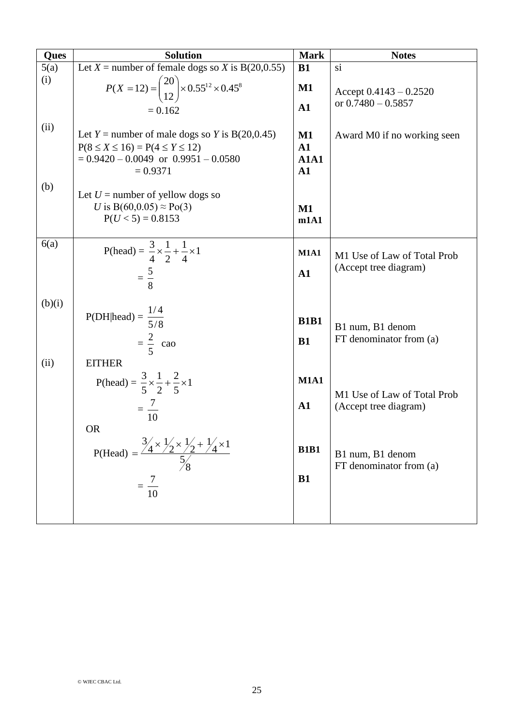| <b>Ques</b> | <b>Solution</b>                                                                                                                                                   | <b>Mark</b>                             | <b>Notes</b>                                         |
|-------------|-------------------------------------------------------------------------------------------------------------------------------------------------------------------|-----------------------------------------|------------------------------------------------------|
| 5(a)        | Let $X$ = number of female dogs so X is B(20,0.55)                                                                                                                | <b>B1</b>                               | si                                                   |
| (i)         | $P(X = 12) = {20 \choose 12} \times 0.55^{12} \times 0.45^8$<br>$= 0.162$                                                                                         | $\mathbf{M1}$<br>$\mathbf{A1}$          | Accept $0.4143 - 0.2520$<br>or $0.7480 - 0.5857$     |
| (ii)        | Let <i>Y</i> = number of male dogs so <i>Y</i> is B(20,0.45)<br>$P(8 \le X \le 16) = P(4 \le Y \le 12)$<br>$= 0.9420 - 0.0049$ or $0.9951 - 0.0580$<br>$= 0.9371$ | $M1$<br>${\bf A1}$<br><b>A1A1</b><br>A1 | Award M0 if no working seen                          |
| (b)         | Let $U =$ number of yellow dogs so<br>U is B(60,0.05) $\approx$ Po(3)<br>$P(U < 5) = 0.8153$                                                                      | $M1$<br>m1A1                            |                                                      |
| 6(a)        | P(head) = $\frac{3}{4} \times \frac{1}{2} + \frac{1}{4} \times 1$<br>$=\frac{5}{8}$                                                                               | <b>M1A1</b><br>A1                       | M1 Use of Law of Total Prob<br>(Accept tree diagram) |
| (b)(i)      | $P(DH head) = \frac{1/4}{5/8}$<br>$=\frac{2}{5}$ cao                                                                                                              | <b>B1B1</b><br>B1                       | B1 num, B1 denom<br>FT denominator from (a)          |
| (ii)        | <b>EITHER</b><br>P(head) = $\frac{3}{5} \times \frac{1}{2} + \frac{2}{5} \times 1$<br>$=\frac{7}{10}$                                                             | <b>M1A1</b><br>${\bf A1}$               | M1 Use of Law of Total Prob<br>(Accept tree diagram) |
|             | <b>OR</b><br>P(Head) = $\frac{3/4 \times 1/2 \times 1/2 + 1/4 \times 1}{5/8}$<br>10                                                                               | <b>B1B1</b><br><b>B1</b>                | B1 num, B1 denom<br>FT denominator from (a)          |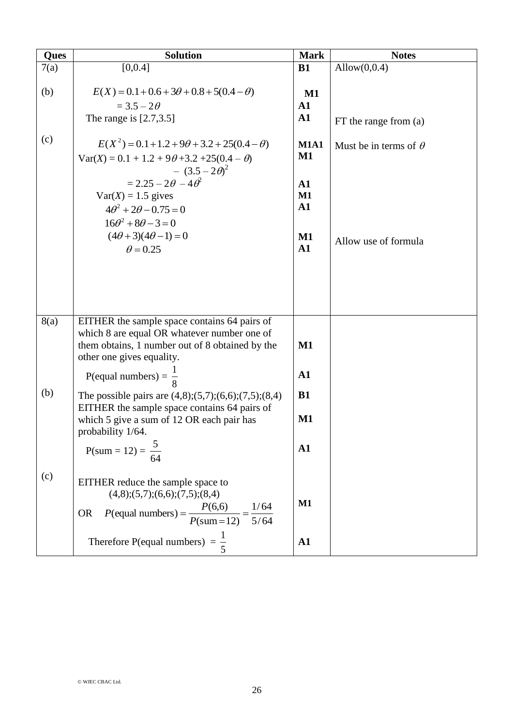| Ques | <b>Solution</b>                                                                                                                                                                                                                                                                                                                    | <b>Mark</b>                                                                                     | <b>Notes</b>                                         |
|------|------------------------------------------------------------------------------------------------------------------------------------------------------------------------------------------------------------------------------------------------------------------------------------------------------------------------------------|-------------------------------------------------------------------------------------------------|------------------------------------------------------|
| 7(a) | [0,0.4]                                                                                                                                                                                                                                                                                                                            | B1                                                                                              | Allow $(0,0.4)$                                      |
| (b)  | $E(X) = 0.1 + 0.6 + 3\theta + 0.8 + 5(0.4 - \theta)$<br>$=$ 3.5 $-$ 2 $\theta$<br>The range is $[2.7,3.5]$                                                                                                                                                                                                                         | $\mathbf{M1}$<br>${\bf A1}$<br>$\mathbf{A1}$                                                    | $FT$ the range from $(a)$                            |
| (c)  | $E(X^2) = 0.1 + 1.2 + 9\theta + 3.2 + 25(0.4 - \theta)$<br>$Var(X) = 0.1 + 1.2 + 9\theta + 3.2 + 25(0.4 - \theta)$<br>$- (3.5 - 2\theta)^2$<br>$= 2.25 - 2\theta - 4\theta^2$<br>$Var(X) = 1.5$ gives<br>$4\theta^2 + 2\theta - 0.75 = 0$<br>$16\theta^2 + 8\theta - 3 = 0$<br>$(4\theta + 3)(4\theta - 1) = 0$<br>$\theta$ = 0.25 | <b>M1A1</b><br>$M1$<br>$\mathbf{A1}$<br>$M1$<br>$\mathbf{A1}$<br>$\mathbf{M1}$<br>$\mathbf{A1}$ | Must be in terms of $\theta$<br>Allow use of formula |
| 8(a) | EITHER the sample space contains 64 pairs of                                                                                                                                                                                                                                                                                       |                                                                                                 |                                                      |
|      | which 8 are equal OR whatever number one of<br>them obtains, 1 number out of 8 obtained by the<br>other one gives equality.                                                                                                                                                                                                        | $\mathbf{M1}$                                                                                   |                                                      |
|      | P(equal numbers) = $\frac{1}{8}$                                                                                                                                                                                                                                                                                                   | $\mathbf{A1}$                                                                                   |                                                      |
| (b)  | The possible pairs are $(4,8)$ ; $(5,7)$ ; $(6,6)$ ; $(7,5)$ ; $(8,4)$<br>EITHER the sample space contains 64 pairs of                                                                                                                                                                                                             | B1                                                                                              |                                                      |
|      | which 5 give a sum of 12 OR each pair has<br>probability 1/64.                                                                                                                                                                                                                                                                     | $\mathbf{M1}$                                                                                   |                                                      |
|      | P(sum = 12) = $\frac{5}{64}$                                                                                                                                                                                                                                                                                                       | ${\bf A1}$                                                                                      |                                                      |
| (c)  | EITHER reduce the sample space to<br>(4,8); (5,7); (6,6); (7,5); (8,4)<br>$P(\text{equal numbers}) = \frac{P(6,6)}{P(\text{sum}=12)} = \frac{1/64}{5/64}$<br><b>OR</b>                                                                                                                                                             | $\mathbf{M1}$                                                                                   |                                                      |
|      | Therefore P(equal numbers) = $\frac{1}{5}$                                                                                                                                                                                                                                                                                         | ${\bf A1}$                                                                                      |                                                      |